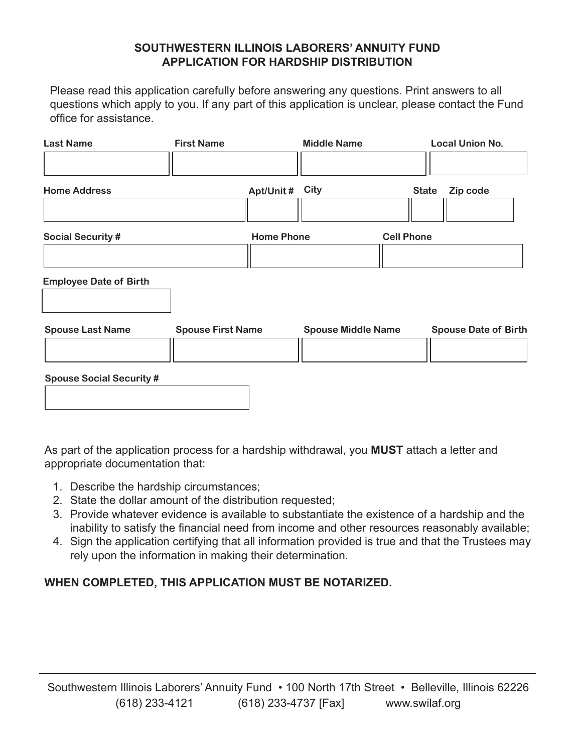## **SOUTHWESTERN ILLINOIS LABORERS' ANNUITY FUND APPLICATION FOR HARDSHIP DISTRIBUTION**

Please read this application carefully before answering any questions. Print answers to all questions which apply to you. If any part of this application is unclear, please contact the Fund office for assistance.

| <b>Last Name</b>                | <b>First Name</b>        |                   | <b>Middle Name</b>        |                   | <b>Local Union No.</b>      |
|---------------------------------|--------------------------|-------------------|---------------------------|-------------------|-----------------------------|
| <b>Home Address</b>             |                          | Apt/Unit#         | <b>City</b>               | <b>State</b>      | Zip code                    |
| <b>Social Security #</b>        |                          | <b>Home Phone</b> |                           | <b>Cell Phone</b> |                             |
| <b>Employee Date of Birth</b>   |                          |                   |                           |                   |                             |
| <b>Spouse Last Name</b>         | <b>Spouse First Name</b> |                   | <b>Spouse Middle Name</b> |                   | <b>Spouse Date of Birth</b> |
| <b>Spouse Social Security #</b> |                          |                   |                           |                   |                             |

As part of the application process for a hardship withdrawal, you **MUST** attach a letter and appropriate documentation that:

- 1. Describe the hardship circumstances;
- 2. State the dollar amount of the distribution requested;
- 3. Provide whatever evidence is available to substantiate the existence of a hardship and the inability to satisfy the financial need from income and other resources reasonably available;
- 4. Sign the application certifying that all information provided is true and that the Trustees may rely upon the information in making their determination.

## **WHEN COMPLETED, THIS APPLICATION MUST BE NOTARIZED.**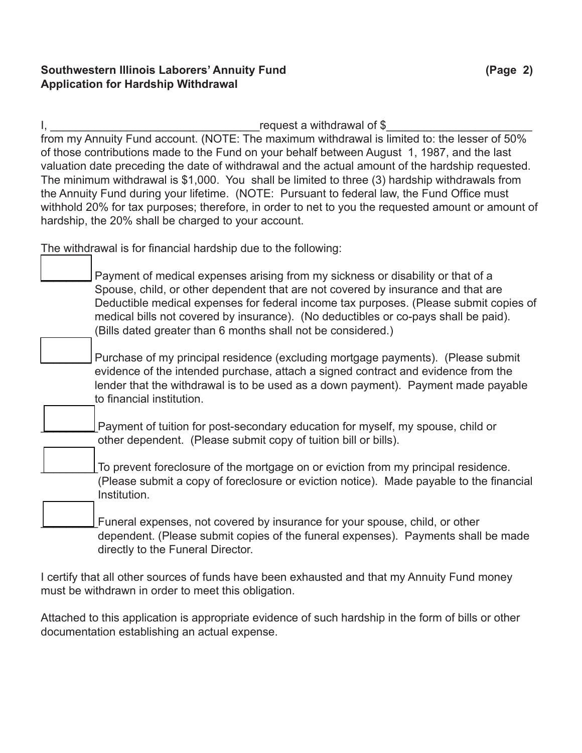## **Southwestern Illinois Laborers' Annuity Fund (Page 2) Application for Hardship Withdrawal**

I, \_\_\_\_\_\_\_\_\_\_\_\_\_\_\_\_\_\_\_\_\_\_\_\_\_\_\_\_\_\_\_\_\_request a withdrawal of \$\_\_\_\_\_\_\_\_\_\_\_\_\_\_\_\_\_\_\_\_\_\_\_ from my Annuity Fund account. (NOTE: The maximum withdrawal is limited to: the lesser of 50% of those contributions made to the Fund on your behalf between August 1, 1987, and the last valuation date preceding the date of withdrawal and the actual amount of the hardship requested. The minimum withdrawal is \$1,000. You shall be limited to three (3) hardship withdrawals from the Annuity Fund during your lifetime. (NOTE: Pursuant to federal law, the Fund Office must withhold 20% for tax purposes; therefore, in order to net to you the requested amount or amount of hardship, the 20% shall be charged to your account.

The withdrawal is for financial hardship due to the following:

Payment of medical expenses arising from my sickness or disability or that of a Spouse, child, or other dependent that are not covered by insurance and that are Deductible medical expenses for federal income tax purposes. (Please submit copies of medical bills not covered by insurance). (No deductibles or co-pays shall be paid). (Bills dated greater than 6 months shall not be considered.)

Purchase of my principal residence (excluding mortgage payments). (Please submit evidence of the intended purchase, attach a signed contract and evidence from the lender that the withdrawal is to be used as a down payment). Payment made payable to financial institution.

Payment of tuition for post-secondary education for myself, my spouse, child or other dependent. (Please submit copy of tuition bill or bills).

To prevent foreclosure of the mortgage on or eviction from my principal residence. (Please submit a copy of foreclosure or eviction notice). Made payable to the financial Institution.

Funeral expenses, not covered by insurance for your spouse, child, or other dependent. (Please submit copies of the funeral expenses). Payments shall be made directly to the Funeral Director.

I certify that all other sources of funds have been exhausted and that my Annuity Fund money must be withdrawn in order to meet this obligation.

Attached to this application is appropriate evidence of such hardship in the form of bills or other documentation establishing an actual expense.